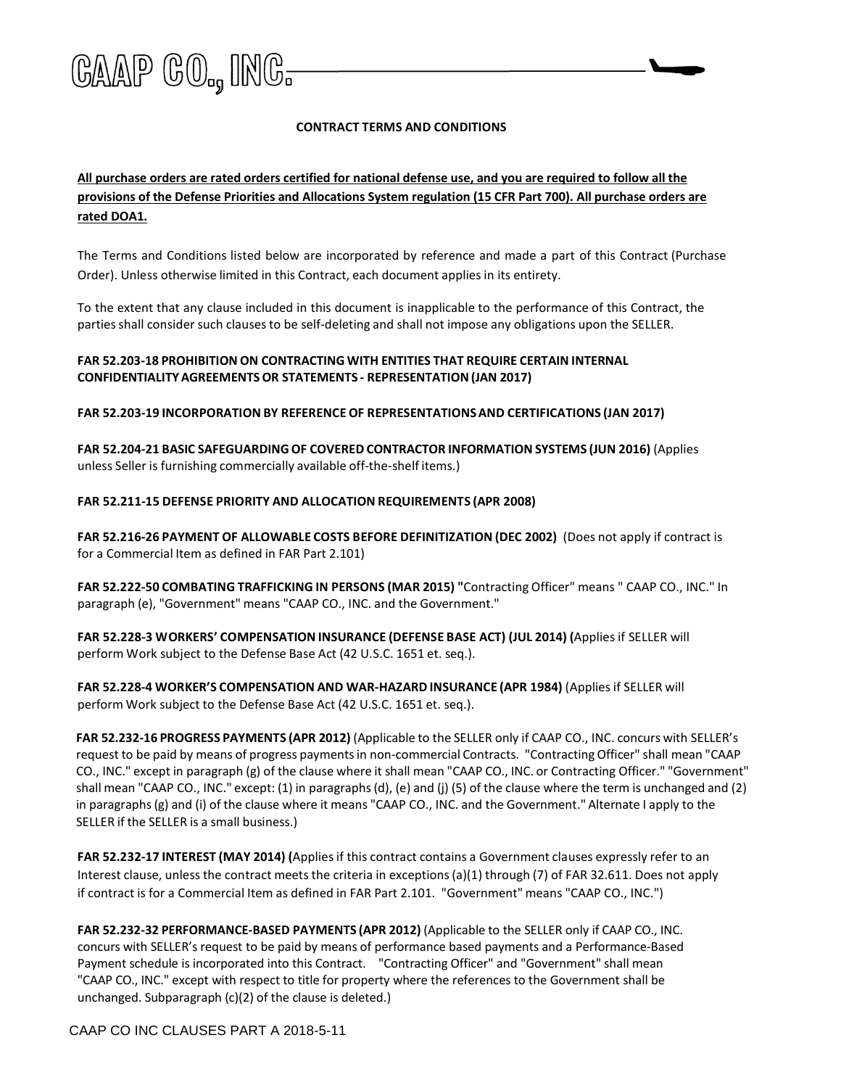

# **CONTRACT TERMS AND CONDITIONS**

# **All purchase orders are rated orders certified for national defense use, and you are required to follow all the provisions of the Defense Priorities and Allocations System regulation (15 CFR Part 700). All purchase orders are rated DOA1.**

The Terms and Conditions listed below are incorporated by reference and made a part of this Contract (Purchase Order). Unless otherwise limited in this Contract, each document appliesin its entirety.

To the extent that any clause included in this document is inapplicable to the performance of this Contract, the parties shall consider such clauses to be self-deleting and shall not impose any obligations upon the SELLER.

# **FAR 52.203-18 PROHIBITION ON CONTRACTING WITH ENTITIES THAT REQUIRE CERTAIN INTERNAL CONFIDENTIALITYAGREEMENTSOR STATEMENTS - REPRESENTATION(JAN 2017)**

**FAR 52.203-19 INCORPORATION BY REFERENCE OF REPRESENTATIONSAND CERTIFICATIONS (JAN 2017)**

**FAR 52.204-21 BASIC SAFEGUARDINGOF COVERED CONTRACTOR INFORMATION SYSTEMS (JUN 2016)** (Applies unless Seller is furnishing commercially available off-the-shelf items.)

## **FAR 52.211-15 DEFENSE PRIORITY AND ALLOCATION REQUIREMENTS (APR 2008)**

**FAR 52.216-26 PAYMENT OF ALLOWABLE COSTS BEFORE DEFINITIZATION (DEC 2002)** (Does not apply if contract is for a Commercial Item as defined in FAR Part 2.101)

**FAR 52.222-50 COMBATING TRAFFICKING IN PERSONS (MAR 2015) "**Contracting Officer" means " CAAP CO., INC." In paragraph (e), "Government" means "CAAP CO., INC. and the Government."

**FAR 52.228-3 WORKERS' COMPENSATION INSURANCE (DEFENSE BASE ACT) (JUL 2014) (**Applies if SELLER will perform Work subject to the Defense Base Act (42 U.S.C. 1651 et. seq.).

**FAR 52.228-4 WORKER'S COMPENSATION AND WAR-HAZARD INSURANCE (APR 1984)** (Appliesif SELLER will perform Work subject to the Defense Base Act (42 U.S.C. 1651 et. seq.).

**FAR 52.232-16 PROGRESS PAYMENTS (APR 2012)** (Applicable to the SELLER only if CAAP CO., INC. concurs with SELLER's request to be paid by means of progress paymentsin non-commercial Contracts. "Contracting Officer" shall mean "CAAP CO., INC." except in paragraph (g) of the clause where it shall mean "CAAP CO., INC. or Contracting Officer." "Government" shall mean "CAAP CO., INC." except: (1) in paragraphs(d), (e) and (j) (5) of the clause where the term is unchanged and (2) in paragraphs(g) and (i) of the clause where it means "CAAP CO., INC. and the Government." Alternate I apply to the SELLER if the SELLER is a small business.)

**FAR 52.232-17 INTEREST (MAY 2014) (**Appliesif this contract contains a Government clauses expressly refer to an Interest clause, unless the contract meets the criteria in exceptions (a)(1) through (7) of FAR 32.611. Does not apply if contract is for a Commercial Item as defined in FAR Part 2.101. "Government" means "CAAP CO., INC.")

**FAR 52.232-32 PERFORMANCE-BASED PAYMENTS (APR 2012)** (Applicable to the SELLER only if CAAP CO., INC. concurs with SELLER's request to be paid by means of performance based payments and a Performance-Based Payment schedule is incorporated into this Contract. "Contracting Officer" and "Government" shall mean "CAAP CO., INC." except with respect to title for property where the references to the Government shall be unchanged. Subparagraph (c)(2) of the clause is deleted.)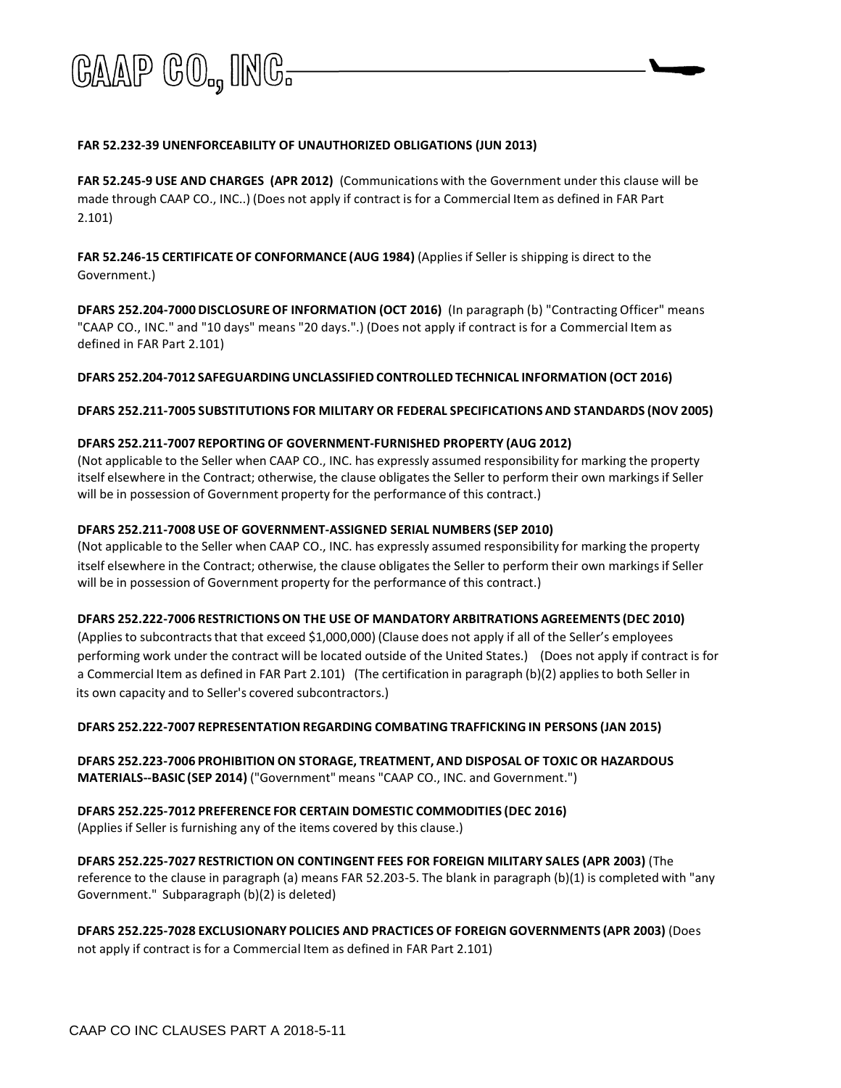

## **FAR 52.232-39 UNENFORCEABILITY OF UNAUTHORIZED OBLIGATIONS (JUN 2013)**

**FAR 52.245-9 USE AND CHARGES (APR 2012)** (Communications with the Government under this clause will be made through CAAP CO., INC..) (Does not apply if contract is for a Commercial Item as defined in FAR Part 2.101)

**FAR 52.246-15 CERTIFICATEOF CONFORMANCE (AUG 1984)** (Appliesif Seller is shipping is direct to the Government.)

**DFARS 252.204-7000 DISCLOSURE OF INFORMATION (OCT 2016)** (In paragraph (b) "Contracting Officer" means "CAAP CO., INC." and "10 days" means "20 days.".) (Does not apply if contract is for a Commercial Item as defined in FAR Part 2.101)

**DFARS 252.204-7012 SAFEGUARDING UNCLASSIFIED CONTROLLED TECHNICAL INFORMATION (OCT 2016)**

**DFARS 252.211-7005 SUBSTITUTIONS FOR MILITARY OR FEDERAL SPECIFICATIONS AND STANDARDS (NOV 2005)** 

#### **DFARS 252.211-7007 REPORTING OF GOVERNMENT-FURNISHED PROPERTY (AUG 2012)**

(Not applicable to the Seller when CAAP CO., INC. has expressly assumed responsibility for marking the property itself elsewhere in the Contract; otherwise, the clause obligates the Seller to perform their own markings if Seller will be in possession of Government property for the performance of this contract.)

## **DFARS 252.211-7008 USE OF GOVERNMENT-ASSIGNED SERIAL NUMBERS (SEP 2010)**

(Not applicable to the Seller when CAAP CO., INC. has expressly assumed responsibility for marking the property itself elsewhere in the Contract; otherwise, the clause obligates the Seller to perform their own markings if Seller will be in possession of Government property for the performance of this contract.)

#### **DFARS 252.222-7006 RESTRICTIONSON THE USE OF MANDATORY ARBITRATIONS AGREEMENTS (DEC 2010)**

(Appliesto subcontractsthat that exceed \$1,000,000) (Clause does not apply if all of the Seller's employees performing work under the contract will be located outside of the United States.) (Does not apply if contract is for a Commercial Item as defined in FAR Part 2.101) (The certification in paragraph (b)(2) appliesto both Seller in its own capacity and to Seller's covered subcontractors.)

#### **DFARS 252.222-7007 REPRESENTATIONREGARDING COMBATING TRAFFICKING IN PERSONS (JAN 2015)**

**DFARS 252.223-7006 PROHIBITION ON STORAGE, TREATMENT, AND DISPOSAL OF TOXIC OR HAZARDOUS MATERIALS--BASIC (SEP 2014)** ("Government" means "CAAP CO., INC. and Government.")

**DFARS 252.225-7012 PREFERENCE FOR CERTAIN DOMESTIC COMMODITIES (DEC 2016)** (Applies if Seller is furnishing any of the items covered by this clause.)

**DFARS 252.225-7027 RESTRICTION ON CONTINGENT FEES FOR FOREIGN MILITARY SALES (APR 2003)** (The reference to the clause in paragraph (a) means FAR 52.203-5. The blank in paragraph (b)(1) is completed with "any Government." Subparagraph (b)(2) is deleted)

**DFARS 252.225-7028 EXCLUSIONARY POLICIES AND PRACTICES OF FOREIGN GOVERNMENTS (APR 2003)** (Does not apply if contract is for a Commercial Item as defined in FAR Part 2.101)